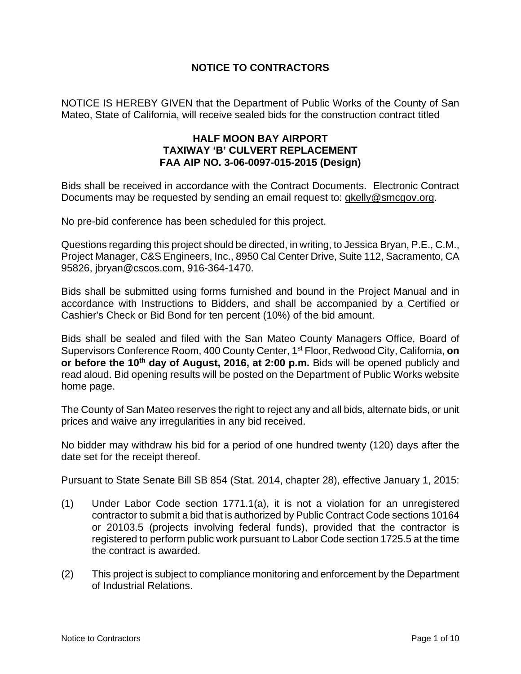### **NOTICE TO CONTRACTORS**

NOTICE IS HEREBY GIVEN that the Department of Public Works of the County of San Mateo, State of California, will receive sealed bids for the construction contract titled

### **HALF MOON BAY AIRPORT TAXIWAY 'B' CULVERT REPLACEMENT FAA AIP NO. 3-06-0097-015-2015 (Design)**

Bids shall be received in accordance with the Contract Documents.Electronic Contract Documents may be requested by sending an email request to: gkelly@smcgov.org.

No pre-bid conference has been scheduled for this project.

Questions regarding this project should be directed, in writing, to Jessica Bryan, P.E., C.M., Project Manager, C&S Engineers, Inc., 8950 Cal Center Drive, Suite 112, Sacramento, CA 95826, jbryan@cscos.com, 916-364-1470.

Bids shall be submitted using forms furnished and bound in the Project Manual and in accordance with Instructions to Bidders, and shall be accompanied by a Certified or Cashier's Check or Bid Bond for ten percent (10%) of the bid amount.

Bids shall be sealed and filed with the San Mateo County Managers Office, Board of Supervisors Conference Room, 400 County Center, 1st Floor, Redwood City, California, **on or before the 10<sup>th</sup> day of August, 2016, at 2:00 p.m.** Bids will be opened publicly and read aloud. Bid opening results will be posted on the Department of Public Works website home page.

The County of San Mateo reserves the right to reject any and all bids, alternate bids, or unit prices and waive any irregularities in any bid received.

No bidder may withdraw his bid for a period of one hundred twenty (120) days after the date set for the receipt thereof.

Pursuant to State Senate Bill SB 854 (Stat. 2014, chapter 28), effective January 1, 2015:

- (1) Under Labor Code section 1771.1(a), it is not a violation for an unregistered contractor to submit a bid that is authorized by Public Contract Code sections 10164 or 20103.5 (projects involving federal funds), provided that the contractor is registered to perform public work pursuant to Labor Code section 1725.5 at the time the contract is awarded.
- (2) This project is subject to compliance monitoring and enforcement by the Department of Industrial Relations.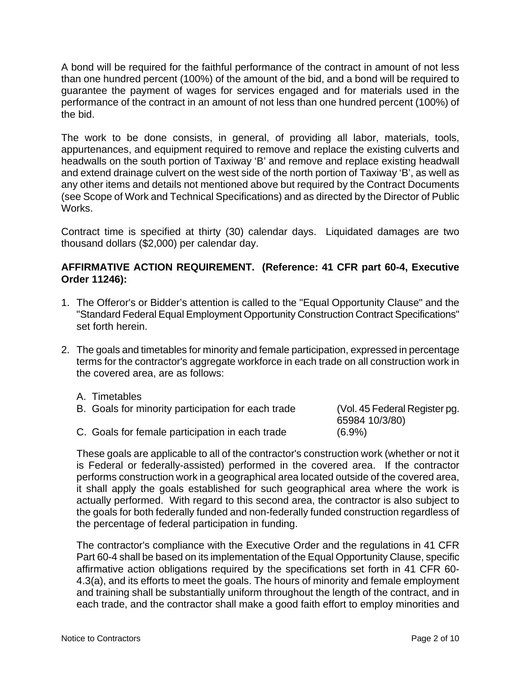A bond will be required for the faithful performance of the contract in amount of not less than one hundred percent (100%) of the amount of the bid, and a bond will be required to guarantee the payment of wages for services engaged and for materials used in the performance of the contract in an amount of not less than one hundred percent (100%) of the bid.

The work to be done consists, in general, of providing all labor, materials, tools, appurtenances, and equipment required to remove and replace the existing culverts and headwalls on the south portion of Taxiway 'B' and remove and replace existing headwall and extend drainage culvert on the west side of the north portion of Taxiway 'B', as well as any other items and details not mentioned above but required by the Contract Documents (see Scope of Work and Technical Specifications) and as directed by the Director of Public Works.

Contract time is specified at thirty (30) calendar days. Liquidated damages are two thousand dollars (\$2,000) per calendar day.

## **AFFIRMATIVE ACTION REQUIREMENT. (Reference: 41 CFR part 60-4, Executive Order 11246):**

- 1. The Offeror's or Bidder's attention is called to the "Equal Opportunity Clause" and the "Standard Federal Equal Employment Opportunity Construction Contract Specifications" set forth herein.
- 2. The goals and timetables for minority and female participation, expressed in percentage terms for the contractor's aggregate workforce in each trade on all construction work in the covered area, are as follows:
	- A. Timetables

| B. Goals for minority participation for each trade | (Vol. 45 Federal Register pg. |
|----------------------------------------------------|-------------------------------|
|                                                    | 65984 10/3/80)                |
| C. Goals for female participation in each trade    | $(6.9\%)$                     |

These goals are applicable to all of the contractor's construction work (whether or not it is Federal or federally-assisted) performed in the covered area. If the contractor performs construction work in a geographical area located outside of the covered area, it shall apply the goals established for such geographical area where the work is actually performed. With regard to this second area, the contractor is also subject to the goals for both federally funded and non-federally funded construction regardless of the percentage of federal participation in funding.

The contractor's compliance with the Executive Order and the regulations in 41 CFR Part 60-4 shall be based on its implementation of the Equal Opportunity Clause, specific affirmative action obligations required by the specifications set forth in 41 CFR 60- 4.3(a), and its efforts to meet the goals. The hours of minority and female employment and training shall be substantially uniform throughout the length of the contract, and in each trade, and the contractor shall make a good faith effort to employ minorities and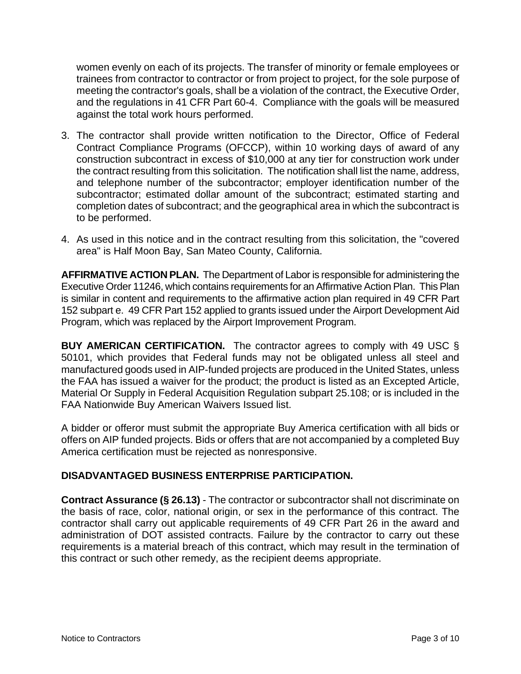women evenly on each of its projects. The transfer of minority or female employees or trainees from contractor to contractor or from project to project, for the sole purpose of meeting the contractor's goals, shall be a violation of the contract, the Executive Order, and the regulations in 41 CFR Part 60-4. Compliance with the goals will be measured against the total work hours performed.

- 3. The contractor shall provide written notification to the Director, Office of Federal Contract Compliance Programs (OFCCP), within 10 working days of award of any construction subcontract in excess of \$10,000 at any tier for construction work under the contract resulting from this solicitation. The notification shall list the name, address, and telephone number of the subcontractor; employer identification number of the subcontractor; estimated dollar amount of the subcontract; estimated starting and completion dates of subcontract; and the geographical area in which the subcontract is to be performed.
- 4. As used in this notice and in the contract resulting from this solicitation, the "covered area" is Half Moon Bay, San Mateo County, California.

**AFFIRMATIVE ACTION PLAN.** The Department of Labor is responsible for administering the Executive Order 11246, which contains requirements for an Affirmative Action Plan. This Plan is similar in content and requirements to the affirmative action plan required in 49 CFR Part 152 subpart e. 49 CFR Part 152 applied to grants issued under the Airport Development Aid Program, which was replaced by the Airport Improvement Program.

**BUY AMERICAN CERTIFICATION.** The contractor agrees to comply with 49 USC § 50101, which provides that Federal funds may not be obligated unless all steel and manufactured goods used in AIP-funded projects are produced in the United States, unless the FAA has issued a waiver for the product; the product is listed as an Excepted Article, Material Or Supply in Federal Acquisition Regulation subpart 25.108; or is included in the FAA Nationwide Buy American Waivers Issued list.

A bidder or offeror must submit the appropriate Buy America certification with all bids or offers on AIP funded projects. Bids or offers that are not accompanied by a completed Buy America certification must be rejected as nonresponsive.

### **DISADVANTAGED BUSINESS ENTERPRISE PARTICIPATION.**

**Contract Assurance (§ 26.13)** - The contractor or subcontractor shall not discriminate on the basis of race, color, national origin, or sex in the performance of this contract. The contractor shall carry out applicable requirements of 49 CFR Part 26 in the award and administration of DOT assisted contracts. Failure by the contractor to carry out these requirements is a material breach of this contract, which may result in the termination of this contract or such other remedy, as the recipient deems appropriate.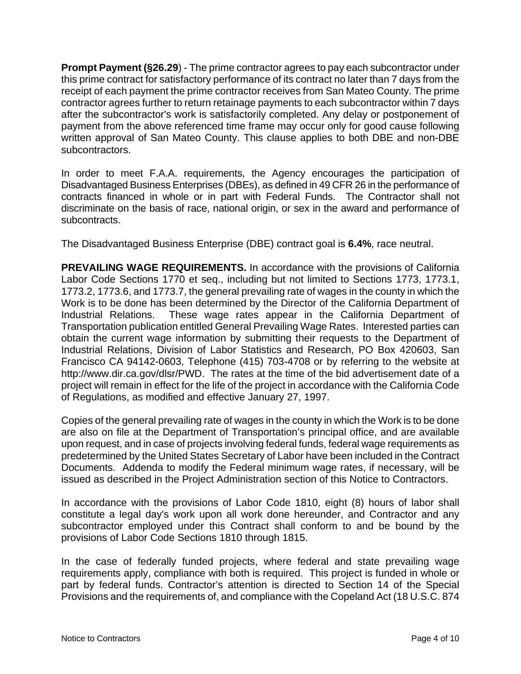**Prompt Payment (§26.29**) - The prime contractor agrees to pay each subcontractor under this prime contract for satisfactory performance of its contract no later than 7 days from the receipt of each payment the prime contractor receives from San Mateo County. The prime contractor agrees further to return retainage payments to each subcontractor within 7 days after the subcontractor's work is satisfactorily completed. Any delay or postponement of payment from the above referenced time frame may occur only for good cause following written approval of San Mateo County. This clause applies to both DBE and non-DBE subcontractors.

In order to meet F.A.A. requirements, the Agency encourages the participation of Disadvantaged Business Enterprises (DBEs), as defined in 49 CFR 26 in the performance of contracts financed in whole or in part with Federal Funds. The Contractor shall not discriminate on the basis of race, national origin, or sex in the award and performance of subcontracts.

The Disadvantaged Business Enterprise (DBE) contract goal is **6.4%**, race neutral.

**PREVAILING WAGE REQUIREMENTS.** In accordance with the provisions of California Labor Code Sections 1770 et seq., including but not limited to Sections 1773, 1773.1, 1773.2, 1773.6, and 1773.7, the general prevailing rate of wages in the county in which the Work is to be done has been determined by the Director of the California Department of Industrial Relations. These wage rates appear in the California Department of Transportation publication entitled General Prevailing Wage Rates. Interested parties can obtain the current wage information by submitting their requests to the Department of Industrial Relations, Division of Labor Statistics and Research, PO Box 420603, San Francisco CA 94142-0603, Telephone (415) 703-4708 or by referring to the website at http://www.dir.ca.gov/dlsr/PWD. The rates at the time of the bid advertisement date of a project will remain in effect for the life of the project in accordance with the California Code of Regulations, as modified and effective January 27, 1997.

Copies of the general prevailing rate of wages in the county in which the Work is to be done are also on file at the Department of Transportation's principal office, and are available upon request, and in case of projects involving federal funds, federal wage requirements as predetermined by the United States Secretary of Labor have been included in the Contract Documents. Addenda to modify the Federal minimum wage rates, if necessary, will be issued as described in the Project Administration section of this Notice to Contractors.

In accordance with the provisions of Labor Code 1810, eight (8) hours of labor shall constitute a legal day's work upon all work done hereunder, and Contractor and any subcontractor employed under this Contract shall conform to and be bound by the provisions of Labor Code Sections 1810 through 1815.

In the case of federally funded projects, where federal and state prevailing wage requirements apply, compliance with both is required. This project is funded in whole or part by federal funds. Contractor's attention is directed to Section 14 of the Special Provisions and the requirements of, and compliance with the Copeland Act (18 U.S.C. 874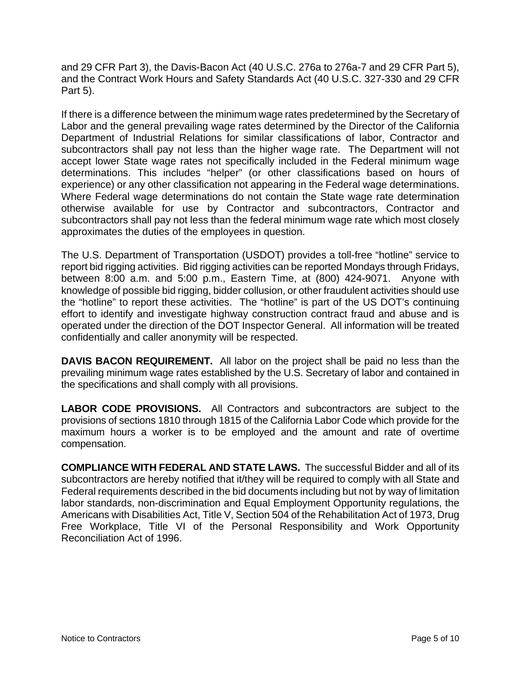and 29 CFR Part 3), the Davis-Bacon Act (40 U.S.C. 276a to 276a-7 and 29 CFR Part 5), and the Contract Work Hours and Safety Standards Act (40 U.S.C. 327-330 and 29 CFR Part 5).

If there is a difference between the minimum wage rates predetermined by the Secretary of Labor and the general prevailing wage rates determined by the Director of the California Department of Industrial Relations for similar classifications of labor, Contractor and subcontractors shall pay not less than the higher wage rate. The Department will not accept lower State wage rates not specifically included in the Federal minimum wage determinations. This includes "helper" (or other classifications based on hours of experience) or any other classification not appearing in the Federal wage determinations. Where Federal wage determinations do not contain the State wage rate determination otherwise available for use by Contractor and subcontractors, Contractor and subcontractors shall pay not less than the federal minimum wage rate which most closely approximates the duties of the employees in question.

The U.S. Department of Transportation (USDOT) provides a toll-free "hotline" service to report bid rigging activities. Bid rigging activities can be reported Mondays through Fridays, between 8:00 a.m. and 5:00 p.m., Eastern Time, at (800) 424-9071. Anyone with knowledge of possible bid rigging, bidder collusion, or other fraudulent activities should use the "hotline" to report these activities. The "hotline" is part of the US DOT's continuing effort to identify and investigate highway construction contract fraud and abuse and is operated under the direction of the DOT Inspector General. All information will be treated confidentially and caller anonymity will be respected.

**DAVIS BACON REQUIREMENT.** All labor on the project shall be paid no less than the prevailing minimum wage rates established by the U.S. Secretary of labor and contained in the specifications and shall comply with all provisions.

**LABOR CODE PROVISIONS.** All Contractors and subcontractors are subject to the provisions of sections 1810 through 1815 of the California Labor Code which provide for the maximum hours a worker is to be employed and the amount and rate of overtime compensation.

**COMPLIANCE WITH FEDERAL AND STATE LAWS.** The successful Bidder and all of its subcontractors are hereby notified that it/they will be required to comply with all State and Federal requirements described in the bid documents including but not by way of limitation labor standards, non-discrimination and Equal Employment Opportunity regulations, the Americans with Disabilities Act, Title V, Section 504 of the Rehabilitation Act of 1973, Drug Free Workplace, Title VI of the Personal Responsibility and Work Opportunity Reconciliation Act of 1996.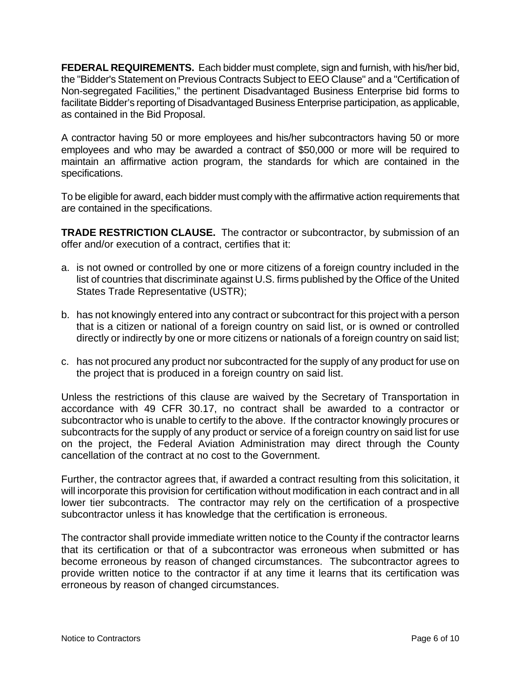**FEDERAL REQUIREMENTS.** Each bidder must complete, sign and furnish, with his/her bid, the "Bidder's Statement on Previous Contracts Subject to EEO Clause" and a "Certification of Non-segregated Facilities," the pertinent Disadvantaged Business Enterprise bid forms to facilitate Bidder's reporting of Disadvantaged Business Enterprise participation, as applicable, as contained in the Bid Proposal.

A contractor having 50 or more employees and his/her subcontractors having 50 or more employees and who may be awarded a contract of \$50,000 or more will be required to maintain an affirmative action program, the standards for which are contained in the specifications.

To be eligible for award, each bidder must comply with the affirmative action requirements that are contained in the specifications.

**TRADE RESTRICTION CLAUSE.** The contractor or subcontractor, by submission of an offer and/or execution of a contract, certifies that it:

- a. is not owned or controlled by one or more citizens of a foreign country included in the list of countries that discriminate against U.S. firms published by the Office of the United States Trade Representative (USTR);
- b. has not knowingly entered into any contract or subcontract for this project with a person that is a citizen or national of a foreign country on said list, or is owned or controlled directly or indirectly by one or more citizens or nationals of a foreign country on said list;
- c. has not procured any product nor subcontracted for the supply of any product for use on the project that is produced in a foreign country on said list.

Unless the restrictions of this clause are waived by the Secretary of Transportation in accordance with 49 CFR 30.17, no contract shall be awarded to a contractor or subcontractor who is unable to certify to the above. If the contractor knowingly procures or subcontracts for the supply of any product or service of a foreign country on said list for use on the project, the Federal Aviation Administration may direct through the County cancellation of the contract at no cost to the Government.

Further, the contractor agrees that, if awarded a contract resulting from this solicitation, it will incorporate this provision for certification without modification in each contract and in all lower tier subcontracts. The contractor may rely on the certification of a prospective subcontractor unless it has knowledge that the certification is erroneous.

The contractor shall provide immediate written notice to the County if the contractor learns that its certification or that of a subcontractor was erroneous when submitted or has become erroneous by reason of changed circumstances. The subcontractor agrees to provide written notice to the contractor if at any time it learns that its certification was erroneous by reason of changed circumstances.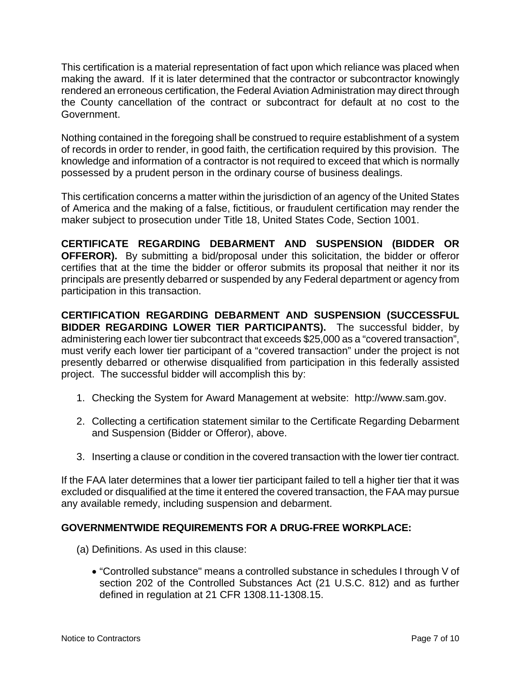This certification is a material representation of fact upon which reliance was placed when making the award. If it is later determined that the contractor or subcontractor knowingly rendered an erroneous certification, the Federal Aviation Administration may direct through the County cancellation of the contract or subcontract for default at no cost to the Government.

Nothing contained in the foregoing shall be construed to require establishment of a system of records in order to render, in good faith, the certification required by this provision. The knowledge and information of a contractor is not required to exceed that which is normally possessed by a prudent person in the ordinary course of business dealings.

This certification concerns a matter within the jurisdiction of an agency of the United States of America and the making of a false, fictitious, or fraudulent certification may render the maker subject to prosecution under Title 18, United States Code, Section 1001.

**CERTIFICATE REGARDING DEBARMENT AND SUSPENSION (BIDDER OR OFFEROR).** By submitting a bid/proposal under this solicitation, the bidder or offeror certifies that at the time the bidder or offeror submits its proposal that neither it nor its principals are presently debarred or suspended by any Federal department or agency from participation in this transaction.

**CERTIFICATION REGARDING DEBARMENT AND SUSPENSION (SUCCESSFUL BIDDER REGARDING LOWER TIER PARTICIPANTS).** The successful bidder, by administering each lower tier subcontract that exceeds \$25,000 as a "covered transaction", must verify each lower tier participant of a "covered transaction" under the project is not presently debarred or otherwise disqualified from participation in this federally assisted project. The successful bidder will accomplish this by:

- 1. Checking the System for Award Management at website: http://www.sam.gov.
- 2. Collecting a certification statement similar to the Certificate Regarding Debarment and Suspension (Bidder or Offeror), above.
- 3. Inserting a clause or condition in the covered transaction with the lower tier contract.

If the FAA later determines that a lower tier participant failed to tell a higher tier that it was excluded or disqualified at the time it entered the covered transaction, the FAA may pursue any available remedy, including suspension and debarment.

# **GOVERNMENTWIDE REQUIREMENTS FOR A DRUG-FREE WORKPLACE:**

- (a) Definitions. As used in this clause:
	- "Controlled substance" means a controlled substance in schedules I through V of section 202 of the Controlled Substances Act (21 U.S.C. 812) and as further defined in regulation at 21 CFR 1308.11-1308.15.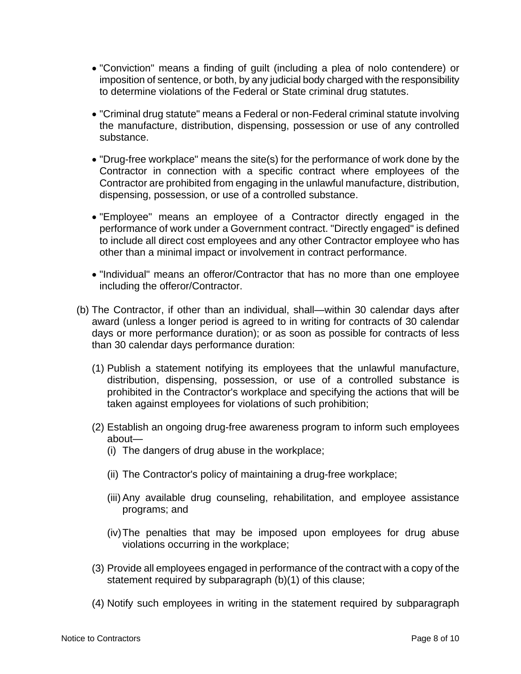- "Conviction" means a finding of guilt (including a plea of nolo contendere) or imposition of sentence, or both, by any judicial body charged with the responsibility to determine violations of the Federal or State criminal drug statutes.
- "Criminal drug statute" means a Federal or non-Federal criminal statute involving the manufacture, distribution, dispensing, possession or use of any controlled substance.
- "Drug-free workplace" means the site(s) for the performance of work done by the Contractor in connection with a specific contract where employees of the Contractor are prohibited from engaging in the unlawful manufacture, distribution, dispensing, possession, or use of a controlled substance.
- "Employee" means an employee of a Contractor directly engaged in the performance of work under a Government contract. "Directly engaged" is defined to include all direct cost employees and any other Contractor employee who has other than a minimal impact or involvement in contract performance.
- "Individual" means an offeror/Contractor that has no more than one employee including the offeror/Contractor.
- (b) The Contractor, if other than an individual, shall—within 30 calendar days after award (unless a longer period is agreed to in writing for contracts of 30 calendar days or more performance duration); or as soon as possible for contracts of less than 30 calendar days performance duration:
	- (1) Publish a statement notifying its employees that the unlawful manufacture, distribution, dispensing, possession, or use of a controlled substance is prohibited in the Contractor's workplace and specifying the actions that will be taken against employees for violations of such prohibition;
	- (2) Establish an ongoing drug-free awareness program to inform such employees about—
		- (i) The dangers of drug abuse in the workplace;
		- (ii) The Contractor's policy of maintaining a drug-free workplace;
		- (iii) Any available drug counseling, rehabilitation, and employee assistance programs; and
		- (iv) The penalties that may be imposed upon employees for drug abuse violations occurring in the workplace;
	- (3) Provide all employees engaged in performance of the contract with a copy of the statement required by subparagraph (b)(1) of this clause;
	- (4) Notify such employees in writing in the statement required by subparagraph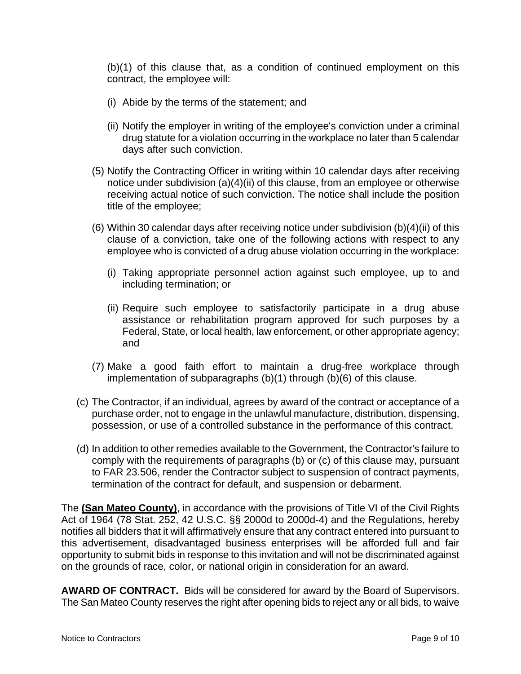(b)(1) of this clause that, as a condition of continued employment on this contract, the employee will:

- (i) Abide by the terms of the statement; and
- (ii) Notify the employer in writing of the employee's conviction under a criminal drug statute for a violation occurring in the workplace no later than 5 calendar days after such conviction.
- (5) Notify the Contracting Officer in writing within 10 calendar days after receiving notice under subdivision (a)(4)(ii) of this clause, from an employee or otherwise receiving actual notice of such conviction. The notice shall include the position title of the employee;
- (6) Within 30 calendar days after receiving notice under subdivision (b)(4)(ii) of this clause of a conviction, take one of the following actions with respect to any employee who is convicted of a drug abuse violation occurring in the workplace:
	- (i) Taking appropriate personnel action against such employee, up to and including termination; or
	- (ii) Require such employee to satisfactorily participate in a drug abuse assistance or rehabilitation program approved for such purposes by a Federal, State, or local health, law enforcement, or other appropriate agency; and
- (7) Make a good faith effort to maintain a drug-free workplace through implementation of subparagraphs (b)(1) through (b)(6) of this clause.
- (c) The Contractor, if an individual, agrees by award of the contract or acceptance of a purchase order, not to engage in the unlawful manufacture, distribution, dispensing, possession, or use of a controlled substance in the performance of this contract.
- (d) In addition to other remedies available to the Government, the Contractor's failure to comply with the requirements of paragraphs (b) or (c) of this clause may, pursuant to FAR 23.506, render the Contractor subject to suspension of contract payments, termination of the contract for default, and suspension or debarment.

The **(San Mateo County)**, in accordance with the provisions of Title VI of the Civil Rights Act of 1964 (78 Stat. 252, 42 U.S.C. §§ 2000d to 2000d-4) and the Regulations, hereby notifies all bidders that it will affirmatively ensure that any contract entered into pursuant to this advertisement, disadvantaged business enterprises will be afforded full and fair opportunity to submit bids in response to this invitation and will not be discriminated against on the grounds of race, color, or national origin in consideration for an award.

**AWARD OF CONTRACT.** Bids will be considered for award by the Board of Supervisors. The San Mateo County reserves the right after opening bids to reject any or all bids, to waive